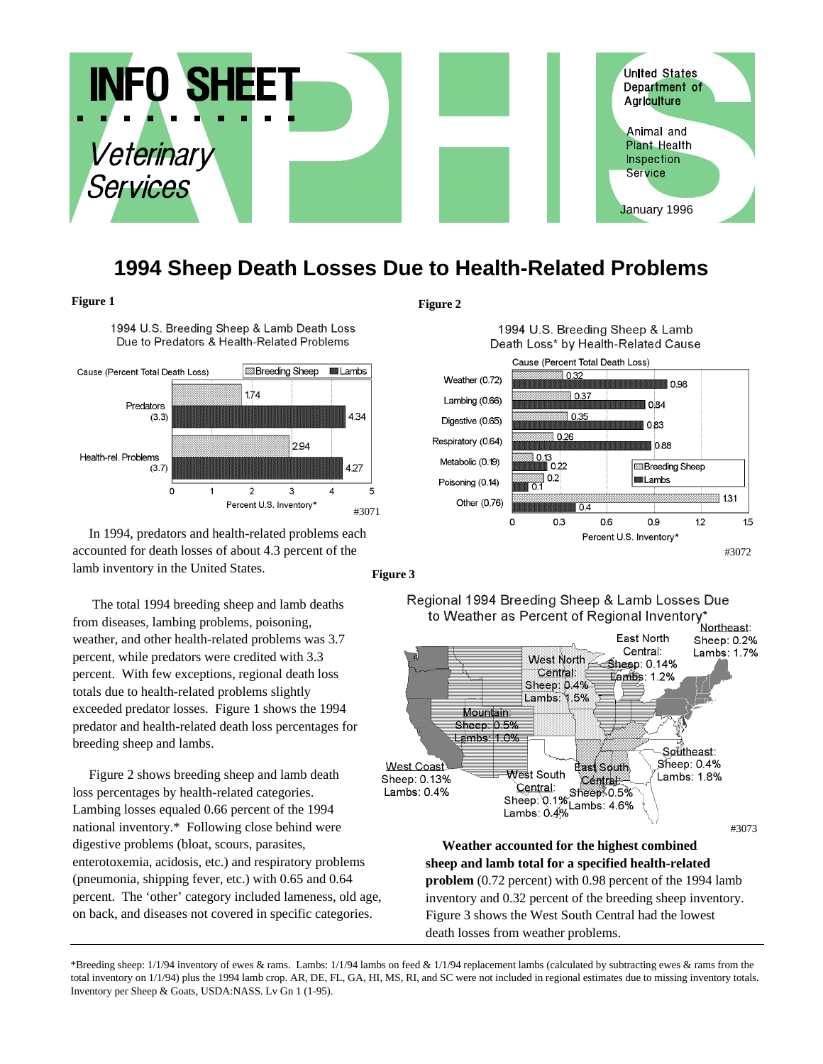

# **1994 Sheep Death Losses Due to Health-Related Problems**

## **Figure 1 Figure 2**

1994 U.S. Breeding Sheep & Lamb Death Loss Due to Predators & Health-Related Problems



In 1994, predators and health-related problems each accounted for death losses of about 4.3 percent of the lamb inventory in the United States.

The total 1994 breeding sheep and lamb deaths from diseases, lambing problems, poisoning, weather, and other health-related problems was 3.7 percent, while predators were credited with 3.3 percent. With few exceptions, regional death loss totals due to health-related problems slightly exceeded predator losses. Figure 1 shows the 1994 predator and health-related death loss percentages for breeding sheep and lambs.

Figure 2 shows breeding sheep and lamb death loss percentages by health-related categories. Lambing losses equaled 0.66 percent of the 1994 national inventory.\* Following close behind were digestive problems (bloat, scours, parasites, enterotoxemia, acidosis, etc.) and respiratory problems (pneumonia, shipping fever, etc.) with 0.65 and 0.64 percent. The 'other' category included lameness, old age, on back, and diseases not covered in specific categories.





**Figure 3**

### Regional 1994 Breeding Sheep & Lamb Losses Due to Weather as Percent of Regional Inventory\*



**Weather accounted for the highest combined sheep and lamb total for a specified health-related problem** (0.72 percent) with 0.98 percent of the 1994 lamb inventory and 0.32 percent of the breeding sheep inventory. Figure 3 shows the West South Central had the lowest death losses from weather problems.

\*Breeding sheep: 1/1/94 inventory of ewes & rams. Lambs: 1/1/94 lambs on feed & 1/1/94 replacement lambs (calculated by subtracting ewes & rams from the total inventory on 1/1/94) plus the 1994 lamb crop. AR, DE, FL, GA, HI, MS, RI, and SC were not included in regional estimates due to missing inventory totals. Inventory per Sheep & Goats, USDA:NASS. Lv Gn 1 (1-95).